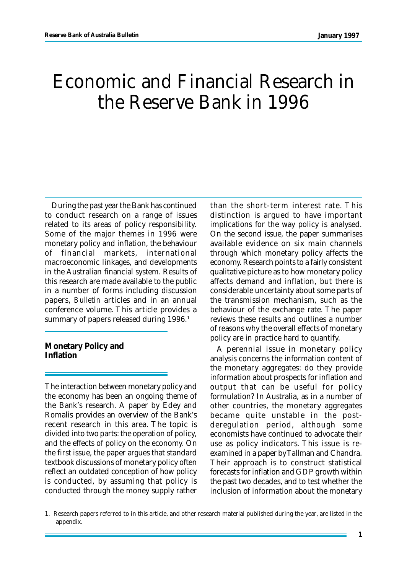# Economic and Financial Research in the Reserve Bank in 1996

During the past year the Bank has continued to conduct research on a range of issues related to its areas of policy responsibility. Some of the major themes in 1996 were monetary policy and inflation, the behaviour of financial markets, international macroeconomic linkages, and developments in the Australian financial system. Results of this research are made available to the public in a number of forms including discussion papers, *Bulletin* articles and in an annual conference volume. This article provides a summary of papers released during 1996.<sup>1</sup>

**Monetary Policy and Inflation**

The interaction between monetary policy and the economy has been an ongoing theme of the Bank's research. A paper by Edey and Romalis provides an overview of the Bank's recent research in this area. The topic is divided into two parts: the operation of policy, and the effects of policy on the economy. On the first issue, the paper argues that standard textbook discussions of monetary policy often reflect an outdated conception of how policy is conducted, by assuming that policy is conducted through the money supply rather

than the short-term interest rate. This distinction is argued to have important implications for the way policy is analysed. On the second issue, the paper summarises available evidence on six main channels through which monetary policy affects the economy. Research points to a fairly consistent qualitative picture as to how monetary policy affects demand and inflation, but there is considerable uncertainty about some parts of the transmission mechanism, such as the behaviour of the exchange rate. The paper reviews these results and outlines a number of reasons why the overall effects of monetary policy are in practice hard to quantify.

A perennial issue in monetary policy analysis concerns the information content of the monetary aggregates: do they provide information about prospects for inflation and output that can be useful for policy formulation? In Australia, as in a number of other countries, the monetary aggregates became quite unstable in the postderegulation period, although some economists have continued to advocate their use as policy indicators. This issue is reexamined in a paper by Tallman and Chandra. Their approach is to construct statistical forecasts for inflation and GDP growth within the past two decades, and to test whether the inclusion of information about the monetary

<sup>1.</sup> Research papers referred to in this article, and other research material published during the year, are listed in the appendix.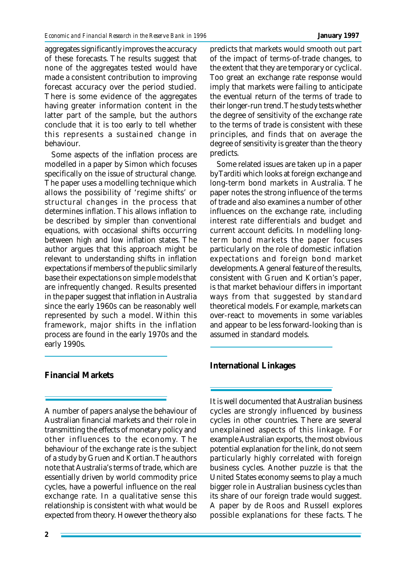aggregates significantly improves the accuracy of these forecasts. The results suggest that none of the aggregates tested would have made a consistent contribution to improving forecast accuracy over the period studied. There is some evidence of the aggregates having greater information content in the latter part of the sample, but the authors conclude that it is too early to tell whether this represents a sustained change in behaviour.

Some aspects of the inflation process are modelled in a paper by Simon which focuses specifically on the issue of structural change. The paper uses a modelling technique which allows the possibility of 'regime shifts' or structural changes in the process that determines inflation. This allows inflation to be described by simpler than conventional equations, with occasional shifts occurring between high and low inflation states. The author argues that this approach might be relevant to understanding shifts in inflation expectations if members of the public similarly base their expectations on simple models that are infrequently changed. Results presented in the paper suggest that inflation in Australia since the early 1960s can be reasonably well represented by such a model. Within this framework, major shifts in the inflation process are found in the early 1970s and the early 1990s.

## **Financial Markets**

A number of papers analyse the behaviour of Australian financial markets and their role in transmitting the effects of monetary policy and other influences to the economy. The behaviour of the exchange rate is the subject of a study by Gruen and Kortian. The authors note that Australia's terms of trade, which are essentially driven by world commodity price cycles, have a powerful influence on the real exchange rate. In a qualitative sense this relationship is consistent with what would be expected from theory. However the theory also

predicts that markets would smooth out part of the impact of terms-of-trade changes, to the extent that they are temporary or cyclical. Too great an exchange rate response would imply that markets were failing to anticipate the eventual return of the terms of trade to their longer-run trend. The study tests whether the degree of sensitivity of the exchange rate to the terms of trade is consistent with these principles, and finds that on average the degree of sensitivity is greater than the theory predicts.

Some related issues are taken up in a paper by Tarditi which looks at foreign exchange and long-term bond markets in Australia. The paper notes the strong influence of the terms of trade and also examines a number of other influences on the exchange rate, including interest rate differentials and budget and current account deficits. In modelling longterm bond markets the paper focuses particularly on the role of domestic inflation expectations and foreign bond market developments. A general feature of the results, consistent with Gruen and Kortian's paper, is that market behaviour differs in important ways from that suggested by standard theoretical models. For example, markets can over-react to movements in some variables and appear to be less forward-looking than is assumed in standard models.

## **International Linkages**

It is well documented that Australian business cycles are strongly influenced by business cycles in other countries. There are several unexplained aspects of this linkage. For example Australian exports, the most obvious potential explanation for the link, do not seem particularly highly correlated with foreign business cycles. Another puzzle is that the United States economy seems to play a much bigger role in Australian business cycles than its share of our foreign trade would suggest. A paper by de Roos and Russell explores possible explanations for these facts. The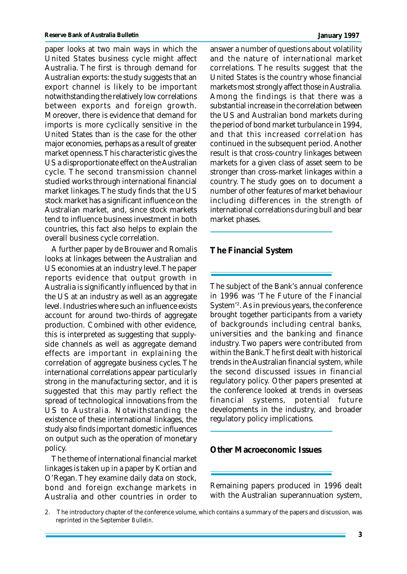paper looks at two main ways in which the United States business cycle might affect Australia. The first is through demand for Australian exports: the study suggests that an export channel is likely to be important notwithstanding the relatively low correlations between exports and foreign growth. Moreover, there is evidence that demand for imports is more cyclically sensitive in the United States than is the case for the other major economies, perhaps as a result of greater market openness. This characteristic gives the US a disproportionate effect on the Australian cycle. The second transmission channel studied works through international financial market linkages. The study finds that the US stock market has a significant influence on the Australian market, and, since stock markets tend to influence business investment in both countries, this fact also helps to explain the overall business cycle correlation.

A further paper by de Brouwer and Romalis looks at linkages between the Australian and US economies at an industry level. The paper reports evidence that output growth in Australia is significantly influenced by that in the US at an industry as well as an aggregate level. Industries where such an influence exists account for around two-thirds of aggregate production. Combined with other evidence, this is interpreted as suggesting that supplyside channels as well as aggregate demand effects are important in explaining the correlation of aggregate business cycles. The international correlations appear particularly strong in the manufacturing sector, and it is suggested that this may partly reflect the spread of technological innovations from the US to Australia. Notwithstanding the existence of these international linkages, the study also finds important domestic influences on output such as the operation of monetary policy.

The theme of international financial market linkages is taken up in a paper by Kortian and O'Regan. They examine daily data on stock, bond and foreign exchange markets in Australia and other countries in order to

answer a number of questions about volatility and the nature of international market correlations. The results suggest that the United States is the country whose financial markets most strongly affect those in Australia. Among the findings is that there was a substantial increase in the correlation between the US and Australian bond markets during the period of bond market turbulance in 1994, and that this increased correlation has continued in the subsequent period. Another result is that cross-country linkages between markets for a given class of asset seem to be stronger than cross-market linkages within a

country. The study goes on to document a number of other features of market behaviour including differences in the strength of international correlations during bull and bear market phases.

**The Financial System**

The subject of the Bank's annual conference in 1996 was 'The Future of the Financial System'<sup>2</sup> . As in previous years, the conference brought together participants from a variety of backgrounds including central banks, universities and the banking and finance industry. Two papers were contributed from within the Bank. The first dealt with historical trends in the Australian financial system, while the second discussed issues in financial regulatory policy. Other papers presented at the conference looked at trends in overseas financial systems, potential future developments in the industry, and broader regulatory policy implications.

**Other Macroeconomic Issues**

Remaining papers produced in 1996 dealt with the Australian superannuation system,

<sup>2.</sup> The introductory chapter of the conference volume, which contains a summary of the papers and discussion, was reprinted in the September *Bulletin*.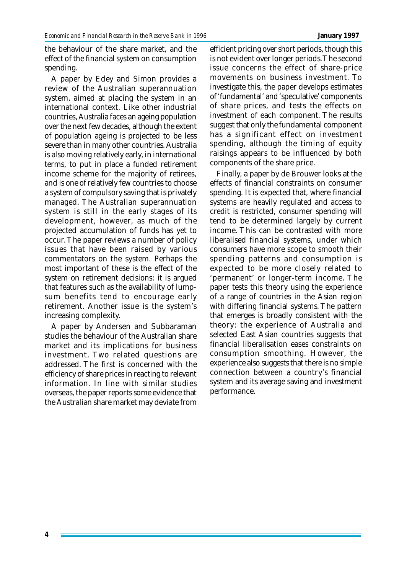the behaviour of the share market, and the effect of the financial system on consumption spending.

A paper by Edey and Simon provides a review of the Australian superannuation system, aimed at placing the system in an international context. Like other industrial countries, Australia faces an ageing population over the next few decades, although the extent of population ageing is projected to be less severe than in many other countries. Australia is also moving relatively early, in international terms, to put in place a funded retirement income scheme for the majority of retirees, and is one of relatively few countries to choose a system of compulsory saving that is privately managed. The Australian superannuation system is still in the early stages of its development, however, as much of the projected accumulation of funds has yet to occur. The paper reviews a number of policy issues that have been raised by various commentators on the system. Perhaps the most important of these is the effect of the system on retirement decisions: it is argued that features such as the availability of lumpsum benefits tend to encourage early retirement. Another issue is the system's increasing complexity.

A paper by Andersen and Subbaraman studies the behaviour of the Australian share market and its implications for business investment. Two related questions are addressed. The first is concerned with the efficiency of share prices in reacting to relevant information. In line with similar studies overseas, the paper reports some evidence that the Australian share market may deviate from

efficient pricing over short periods, though this is not evident over longer periods. The second issue concerns the effect of share-price movements on business investment. To investigate this, the paper develops estimates of 'fundamental' and 'speculative' components of share prices, and tests the effects on investment of each component. The results suggest that only the fundamental component has a significant effect on investment spending, although the timing of equity raisings appears to be influenced by both components of the share price.

Finally, a paper by de Brouwer looks at the effects of financial constraints on consumer spending. It is expected that, where financial systems are heavily regulated and access to credit is restricted, consumer spending will tend to be determined largely by current income. This can be contrasted with more liberalised financial systems, under which consumers have more scope to smooth their spending patterns and consumption is expected to be more closely related to 'permanent' or longer-term income. The paper tests this theory using the experience of a range of countries in the Asian region with differing financial systems. The pattern that emerges is broadly consistent with the theory: the experience of Australia and selected East Asian countries suggests that financial liberalisation eases constraints on consumption smoothing. However, the experience also suggests that there is no simple connection between a country's financial system and its average saving and investment performance.